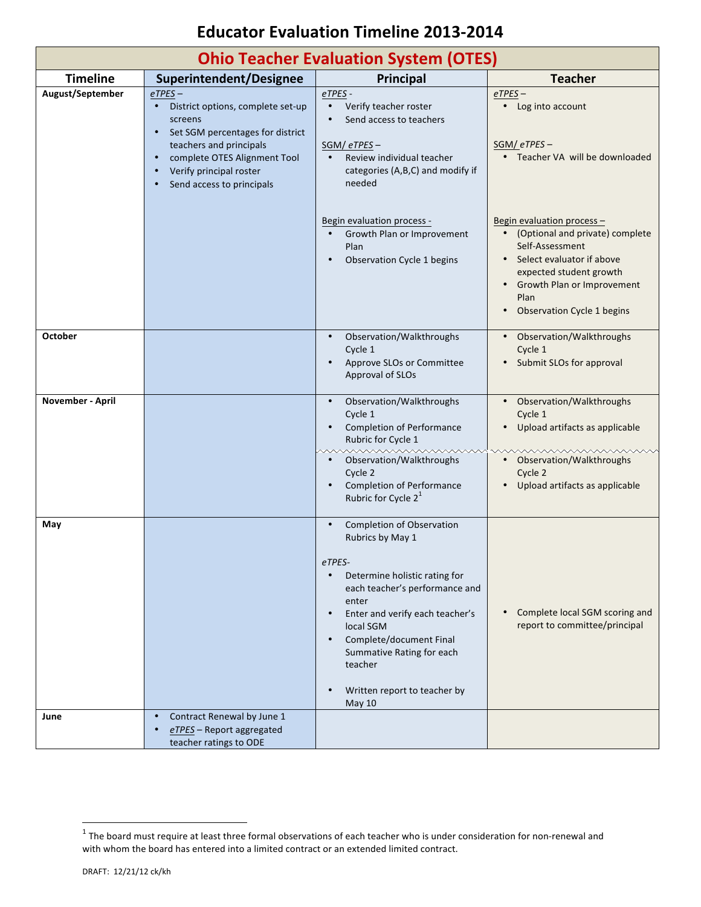## **Educator Evaluation Timeline 2013-2014**

| <b>Ohio Teacher Evaluation System (OTES)</b> |                                                                                                                                                                                                                     |                                                                                                                                                                                                                                                                                                                                                                    |                                                                                                                                                                                                                         |
|----------------------------------------------|---------------------------------------------------------------------------------------------------------------------------------------------------------------------------------------------------------------------|--------------------------------------------------------------------------------------------------------------------------------------------------------------------------------------------------------------------------------------------------------------------------------------------------------------------------------------------------------------------|-------------------------------------------------------------------------------------------------------------------------------------------------------------------------------------------------------------------------|
| <b>Timeline</b>                              | Superintendent/Designee                                                                                                                                                                                             | Principal                                                                                                                                                                                                                                                                                                                                                          | <b>Teacher</b>                                                                                                                                                                                                          |
| August/September                             | $e$ TPES $-$<br>District options, complete set-up<br>screens<br>Set SGM percentages for district<br>teachers and principals<br>complete OTES Alignment Tool<br>Verify principal roster<br>Send access to principals | eTPES-<br>Verify teacher roster<br>$\bullet$<br>Send access to teachers<br>$SGM / eTPES -$<br>Review individual teacher<br>categories (A,B,C) and modify if<br>needed                                                                                                                                                                                              | $e$ TPES $-$<br>• Log into account<br>$SGM / eTPES -$<br>• Teacher VA will be downloaded                                                                                                                                |
|                                              |                                                                                                                                                                                                                     | Begin evaluation process -<br>Growth Plan or Improvement<br>$\bullet$<br>Plan<br>Observation Cycle 1 begins                                                                                                                                                                                                                                                        | Begin evaluation process -<br>• (Optional and private) complete<br>Self-Assessment<br>• Select evaluator if above<br>expected student growth<br>Growth Plan or Improvement<br>Plan<br><b>Observation Cycle 1 begins</b> |
| <b>October</b>                               |                                                                                                                                                                                                                     | Observation/Walkthroughs<br>$\bullet$<br>Cycle 1<br>Approve SLOs or Committee<br>Approval of SLOs                                                                                                                                                                                                                                                                  | Observation/Walkthroughs<br>Cycle 1<br>Submit SLOs for approval                                                                                                                                                         |
| November - April                             |                                                                                                                                                                                                                     | Observation/Walkthroughs<br>$\bullet$<br>Cycle 1<br><b>Completion of Performance</b><br>Rubric for Cycle 1<br>wwwwwwwwwww<br>Observation/Walkthroughs<br>Cycle 2<br><b>Completion of Performance</b><br>Rubric for Cycle 2 <sup>1</sup>                                                                                                                            | Observation/Walkthroughs<br>$\bullet$<br>Cycle 1<br>Upload artifacts as applicable<br>wwwwwwwwwwww<br>• Observation/Walkthroughs<br>Cycle 2<br>Upload artifacts as applicable                                           |
| May                                          |                                                                                                                                                                                                                     | <b>Completion of Observation</b><br>$\bullet$<br>Rubrics by May 1<br>eTPES-<br>Determine holistic rating for<br>$\bullet$<br>each teacher's performance and<br>enter<br>Enter and verify each teacher's<br>$\bullet$<br>local SGM<br>Complete/document Final<br>$\bullet$<br>Summative Rating for each<br>teacher<br>Written report to teacher by<br><b>May 10</b> | Complete local SGM scoring and<br>report to committee/principal                                                                                                                                                         |
| June                                         | Contract Renewal by June 1<br>$e$ <i>TPES</i> - Report aggregated<br>teacher ratings to ODE                                                                                                                         |                                                                                                                                                                                                                                                                                                                                                                    |                                                                                                                                                                                                                         |

<u> 1989 - Jan Samuel Barbara, político establecido de la provincia de la provincia de la provincia de la provinci</u>

 $^1$  The board must require at least three formal observations of each teacher who is under consideration for non-renewal and with whom the board has entered into a limited contract or an extended limited contract.